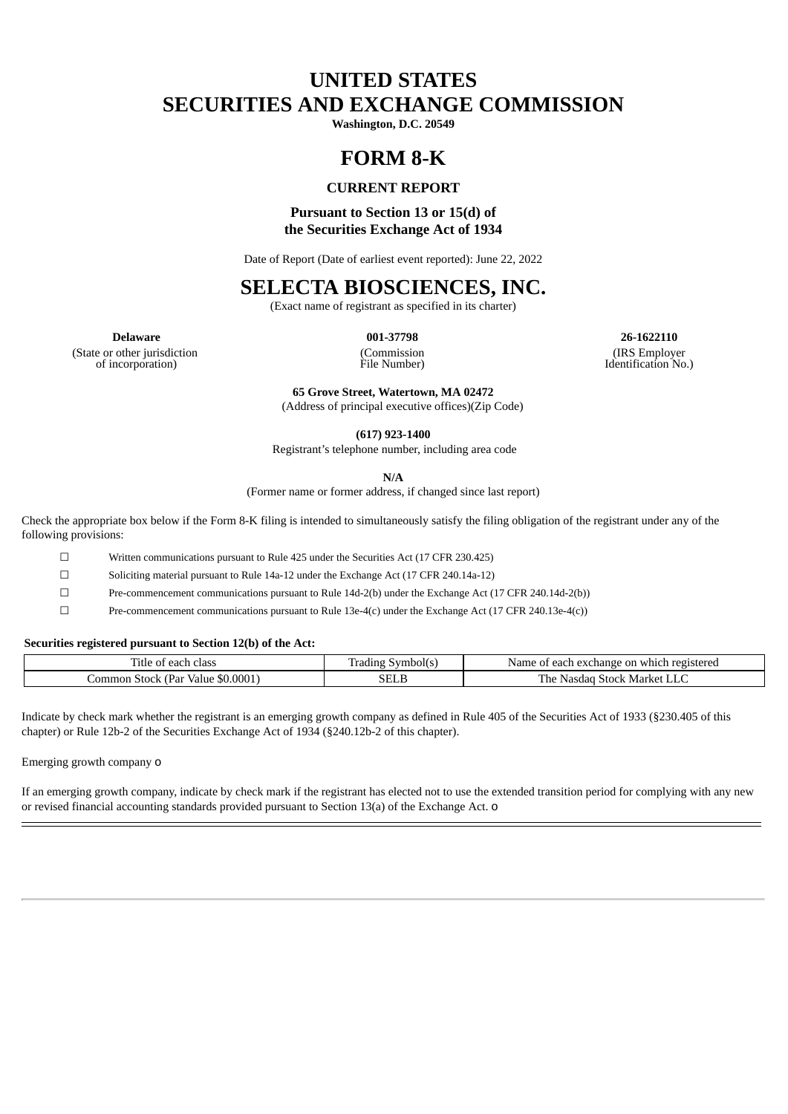# **UNITED STATES SECURITIES AND EXCHANGE COMMISSION**

**Washington, D.C. 20549**

## **FORM 8-K**

### **CURRENT REPORT**

## **Pursuant to Section 13 or 15(d) of the Securities Exchange Act of 1934**

Date of Report (Date of earliest event reported): June 22, 2022

## **SELECTA BIOSCIENCES, INC.**

(Exact name of registrant as specified in its charter)

(Commission

**Delaware 001-37798 26-1622110** (IRS Employer Identification No.)

(State or other jurisdiction of incorporation)

File Number) **65 Grove Street, Watertown, MA 02472**

(Address of principal executive offices)(Zip Code)

**(617) 923-1400**

Registrant's telephone number, including area code

**N/A**

(Former name or former address, if changed since last report)

Check the appropriate box below if the Form 8-K filing is intended to simultaneously satisfy the filing obligation of the registrant under any of the following provisions:

☐ Written communications pursuant to Rule 425 under the Securities Act (17 CFR 230.425)

☐ Soliciting material pursuant to Rule 14a-12 under the Exchange Act (17 CFR 240.14a-12)

☐ Pre-commencement communications pursuant to Rule 14d-2(b) under the Exchange Act (17 CFR 240.14d-2(b))

☐ Pre-commencement communications pursuant to Rule 13e-4(c) under the Exchange Act (17 CFR 240.13e-4(c))

#### **Securities registered pursuant to Section 12(b) of the Act:**

| m.<br>class<br>. itle<br>ഹ '<br>.<br>"dl        | abolt<br>1400U     | registerec<br>which<br>Nam<br>rhange:<br>. eac'<br>on<br>$\alpha v$<br>വ.<br>n٥ |
|-------------------------------------------------|--------------------|---------------------------------------------------------------------------------|
| \$0.0001<br>ommon<br>. Par<br>. stoch.<br>Value | $\sim$ $\sim$<br>. | m<br>Market<br>'he<br>Stock<br>JHI.<br>.                                        |

Indicate by check mark whether the registrant is an emerging growth company as defined in Rule 405 of the Securities Act of 1933 (§230.405 of this chapter) or Rule 12b-2 of the Securities Exchange Act of 1934 (§240.12b-2 of this chapter).

Emerging growth company o

If an emerging growth company, indicate by check mark if the registrant has elected not to use the extended transition period for complying with any new or revised financial accounting standards provided pursuant to Section 13(a) of the Exchange Act. o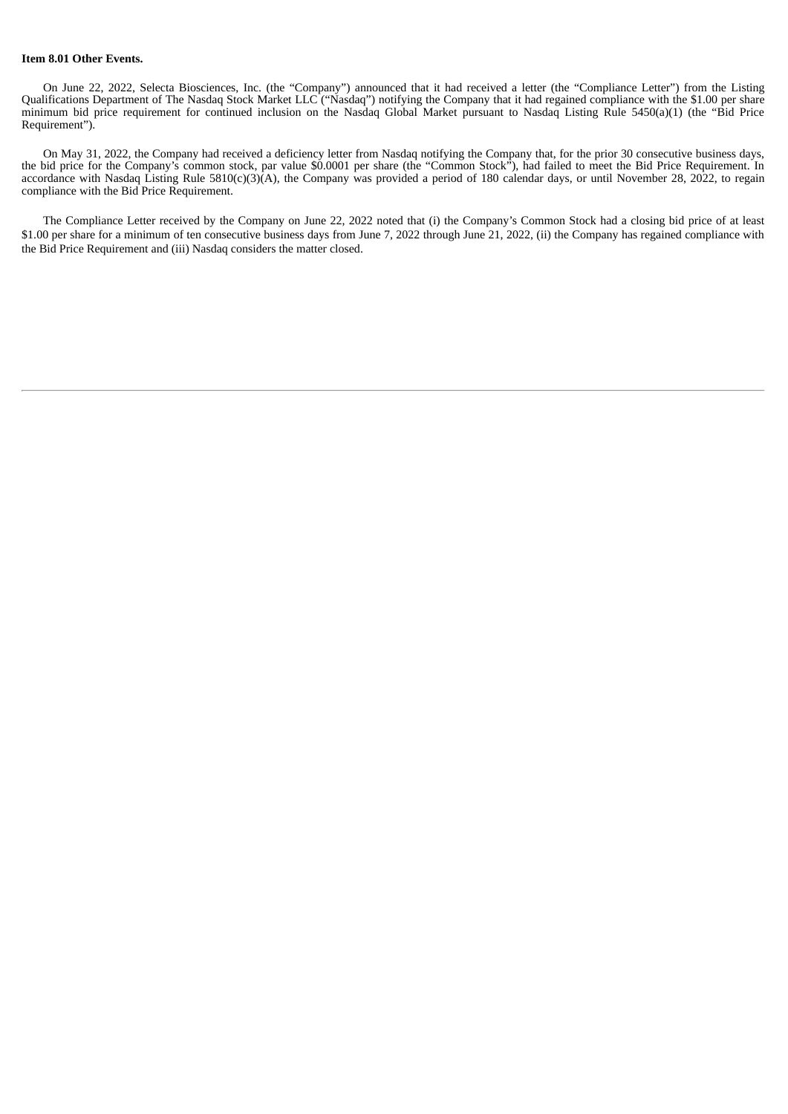#### **Item 8.01 Other Events.**

On June 22, 2022, Selecta Biosciences, Inc. (the "Company") announced that it had received a letter (the "Compliance Letter") from the Listing Qualifications Department of The Nasdaq Stock Market LLC ("Nasdaq") notifying the Company that it had regained compliance with the \$1.00 per share minimum bid price requirement for continued inclusion on the Nasdaq Global Market pursuant to Nasdaq Listing Rule 5450(a)(1) (the "Bid Price Requirement").

On May 31, 2022, the Company had received a deficiency letter from Nasdaq notifying the Company that, for the prior 30 consecutive business days, the bid price for the Company's common stock, par value \$0.0001 per share (the "Common Stock"), had failed to meet the Bid Price Requirement. In accordance with Nasdaq Listing Rule 5810(c)(3)(A), the Company was provided a period of 180 calendar days, or until November 28, 2022, to regain compliance with the Bid Price Requirement.

The Compliance Letter received by the Company on June 22, 2022 noted that (i) the Company's Common Stock had a closing bid price of at least \$1.00 per share for a minimum of ten consecutive business days from June 7, 2022 through June 21, 2022, (ii) the Company has regained compliance with the Bid Price Requirement and (iii) Nasdaq considers the matter closed.